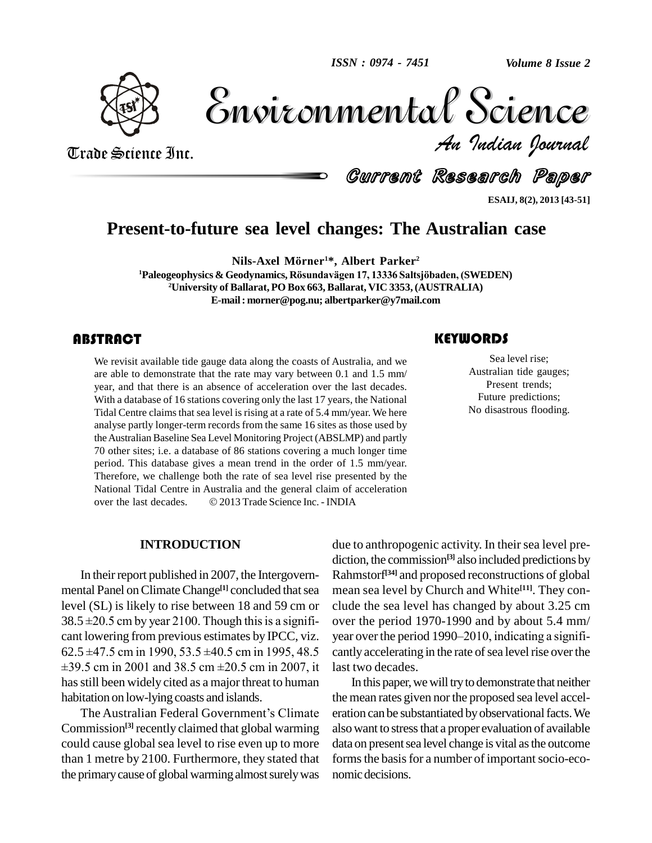

Volume 8 Issue 2 *Indian Journal* Volume 8 Issue 2

Trade Science Inc. Trade Science Inc.

Current Research Paper

**ESAIJ, 8(2), 2013 [43-51]**

# **Present-to-future sea level changes: The Australian case 2 Sea level cnanges: Ine Aus<br>Nils-Axel Mörner<sup>1\*,</sup> Albert Parker<sup>2</sup>**

**<sup>1</sup>Paleogeophysics & Geodynamics, <sup>R</sup>ˆsundav‰gen 17, <sup>13336</sup> Saltsjˆbaden, (SWEDEN) <sup>2</sup>University of Ballarat, PO Box 663, Ballarat, VIC 3353, (AUSTRALIA) E-mail: [morner@pog.nu;](mailto:morner@pog.nu;) [albertparker@y7mail.com](mailto:albertparker@y7mail.com)**

### **ABSTRACT**

We revisit available tide<br>are able to demonstrate<br>year, and that there is a We revisit available tide gauge data along the coasts of Australia, and we are able to demonstrate that the rate may vary between 0.1 and 1.5 mm/ year, and that there is an absence of acceleration over the last decades. With a database of 16 stations covering only the last 17 years, the National Tidal Centre claims that sea level is rising at a rate of 5.4 mm/year. We here analyse partly longer-term records from the same 16 sites as those used by theAustralian Baseline Sea Level Monitoring Project (ABSLMP) and partly 70 other sites; i.e. a database of 86 stations covering a much longer time period. This database gives a mean trend in the order of 1.5 mm/year. Therefore, we challenge both the rate of sea level rise presented by the<br>National Tidal Centre in Australia and the general claim of acceleration<br>over the last decades. © 2013 Trade Science Inc. - INDIA National Tidal Centre in Australia and the general claim of acceleration

### **INTRODUCTION**

In their report published in 2007, the Intergovernmental Panel on Climate Change<sup>[1]</sup> concluded that sea mean level (SL) is likely to rise between 18 and 59 cm or mental Panel on Climate Change<sup>[1]</sup> concluded that sea mea<br>level (SL) is likely to rise between 18 and 59 cm or clude<br>38.5 ±20.5 cm by year 2100. Though this is a signifi- ove cant lowering from previous estimates by IPCC, viz. yes<br>62.5  $\pm$ 47.5 cm in 1990, 53.5  $\pm$ 40.5 cm in 1995, 48.5 cm<br> $\pm$ 39.5 cm in 2001 and 38.5 cm  $\pm$ 20.5 cm in 2007, it las  $38.5 \pm 20.5$  cm by year 2100. Though this is a signifi-<br>cover the period 1970-1990 and by about 5.4 mm/<br>cant lowering from previous estimates by IPCC, viz. year over the period 1990–2010, indicating a signifi-<br>62.5  $\pm$ 4 has still been widely cited as a major threat to human habitation on low-lying coasts and islands.

The Australian Federal Government's Climate Commission<sup>[3]</sup> recently claimed that global warming also wa could cause global sea level to rise even up to more than 1 metre by 2100. Furthermore, they stated that the primary cause of global warming almost surely was

due to anthropogenic activity. In their sea level prediction, the commission **[3]** also included predictions by Rahmstorf **[34]** and proposed reconstructions of global mean sea level by Church and White **[11]**. They con clude the sea level has changed by about 3.25 cm over the period 1970-1990 and by about 5.4 mm/ clude the sea level has changed by about 3.25 cm<br>over the period 1970-1990 and by about 5.4 mm/<br>year over the period 1990–2010, indicating a significantly accelerating in the rate of sea level rise over the last two decades.

In this paper, we will try to demonstrate that neither the mean rates given nor the proposed sea level acceleration can be substantiated by observational facts. We also want to stress that a proper evaluation of available data on present sea level change is vital as the outcome forms the basis for a number of important socio-economic decisions.

### **KEYWORDS**

Sea level rise;<br>Australian tide gau.<br>Present trends; Sea level rise; Australian tide gauges; Present trends; Future predictions; No disastrous flooding.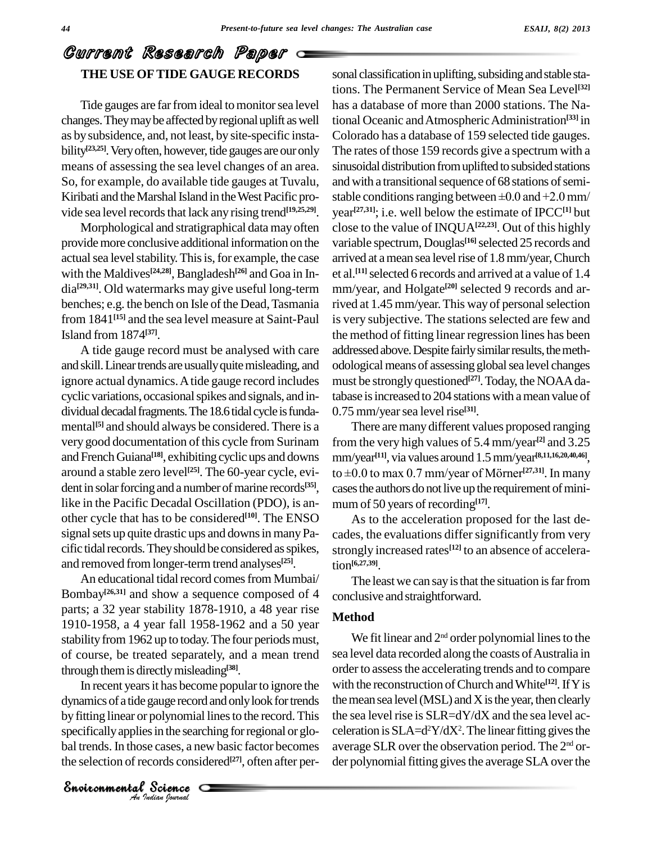### Current Research Paper **THE USE OFTIDE GAUGE RECORDS**

Tide gauges are far from ideal to monitor sea level changes.Theymaybe affected byregionaluplift aswell as bysubsidence, and, not least, by site-specific insta bility<sup>[23,25]</sup>. Very often, however, tide gauges are our only The rat means of assessing the sea level changes of an area. So, for example, do available tide gauges at Tuvalu, Kiribati and the Marshal Island in the West Pacific provide sea level records that lack any rising trend<sup>[19,25,29]</sup>. ye

Morphological and stratigraphical data may often providemore conclusive additional information on the actual sea level stability. This is, for example, the case with the Maldives<sup>[24,28]</sup>, Bangladesh<sup>[26]</sup> and Goa in In- et al dia<sup>[29,31]</sup>. Old watermarks may give useful long-term mm/year, are benches; e.g. the bench on Isle of the Dead, Tasmania from 1841<sup>[15]</sup> and the sea level measure at Saint-Paul is Island from 1874 **[37]**.

A tide gauge record must be analysed with care and skill. Linear trends are usually quite misleading, and ignore actual dynamics.Atide gauge record includes cyclic variations, occasional spikes and signals, and in-<br>dividual decadal fragments. The 18.6 tidal cycle is fundamental<sup>[5]</sup> and should always be considered. There is a Tl very good documentation of this cycle from Surinam and French Guiana<sup>[18]</sup>, exhibiting cyclic ups and downs mm/ around a stable zero level<sup>[25]</sup>. The 60-year cycle, evi- to  $\pm$ dent in solar forcing and a number of marine records<sup>[35]</sup>, ca like in the Pacific Decadal Oscillation (PDO), is an other cycle that has to be considered **[10]**. The ENSO signal sets up quite drastic ups and downs in many Pacific tidal records. They should be considered as spikes, and removed fromlonger-term trend analyses **[25]**.

An educational tidal record comes from Mumbai/ Bombay<sup>[26,31]</sup> and show a sequence composed of 4 conclus parts; a 32 year stability 1878-1910, a 48 year rise 1910-1958, a 4 year fall 1958-1962 and a 50 year stability from 1962 up to today. The four periods must, of course, be treated separately, and a mean trend through themis directlymisleading **[38]**.

dynamics of a tide gauge record and only look for trends the m gauge record an<br>polynomial line<br>is in the searchin<br>e cases, a new b<br>cords considere<br>Science In recent years it has become popular to ignore the by fitting linear or polynomial lines to the record. This the s specifically applies in the searching for regional or global trends. In those cases, a new basic factor becomes the selection of records considered **[27]**, often after per-

sonal classification in uplifting, subsiding and stable stations. The Permanent Service of Mean Sea Level **[32]** has a database of more than 2000 stations. The National Oceanic and Atmospheric Administration<sup>[33]</sup> in Colorado has a database of 159 selected tide gauges. The rates of those 159 records give a spectrum with a sinusoidal distribution from uplifted to subsided stations and with a transitional sequence of 68 stations of semistable conditions ranging between  $\pm 0.0$  and  $+2.0$  mm/ year **[27,31]**; i.e. well below the estimate of IPCC**[1]** but close to the value of INQUA**[22,23]**. Out of this highly variable spectrum, Douglas **[16]**selected 25 records and arrived at a mean sea level rise of 1.8 mm/year, Church et al. **[11]**selected 6 records and arrived at a value of 1.4 mm/year, and Holgate **[20]** selected 9 records and arrived at 1.45 mm/year. This way of personal selection is very subjective. The stations selected are few and the method of fitting linear regression lines has been addressed above. Despite fairly similar results, the methodologicalmeans of assessing globalsea level changes must be strongly questioned **[27]**.Today, the NOAAdatabase is increased to 204 stations with a mean value of 0.75 mm/year sea level rise<sup>[31]</sup>.

There are many different values proposed ranging from the very high values of 5.4 mm/year **[2]** and 3.25 mm/year **[11]**, via values around 1.5mm/year **[8,11,16,20,40,46]**, from the very high values of 5.4 mm/year<sup>[2]</sup> a<br>mm/year<sup>[11]</sup>, via values around 1.5 mm/year<sup>[8,11,1</sup>]<br>to  $\pm 0.0$  to max 0.7 mm/year of Mörner<sup>[27,31]</sup>. I to  $\pm 0.0$  to max 0.7 mm/year of Mörner<sup>[27,31]</sup>. In many cases the authors do not live up the requirement of minimum of 50 years of recording **[17]**.

As to the acceleration proposed for the last de cades, the evaluations differ significantly from very strongly increased rates **[12]** to an absence of acceleration **[6,27,39]**.

The least we can say is that the situation is far from conclusive and straightforward.

### **Method**

We fit linear and  $2<sup>nd</sup>$  order polynomial lines to the sea level data recorded along the coasts of Australia in order to assess the accelerating trends and to compare with the reconstruction ofChurch andWhite **[12]**.IfYis the mean sea level ( $MSL$ ) and  $X$  is the year, then clearly the sea level rise is  $SLR = dY/dX$  and the sea level acceleration is  $SLA = d^2Y/dX^2$ . The linear fitting gives the average SLR over the observation period. The 2<sup>nd</sup> order polynomial fitting gives the average SLA over the

*Indian Journal*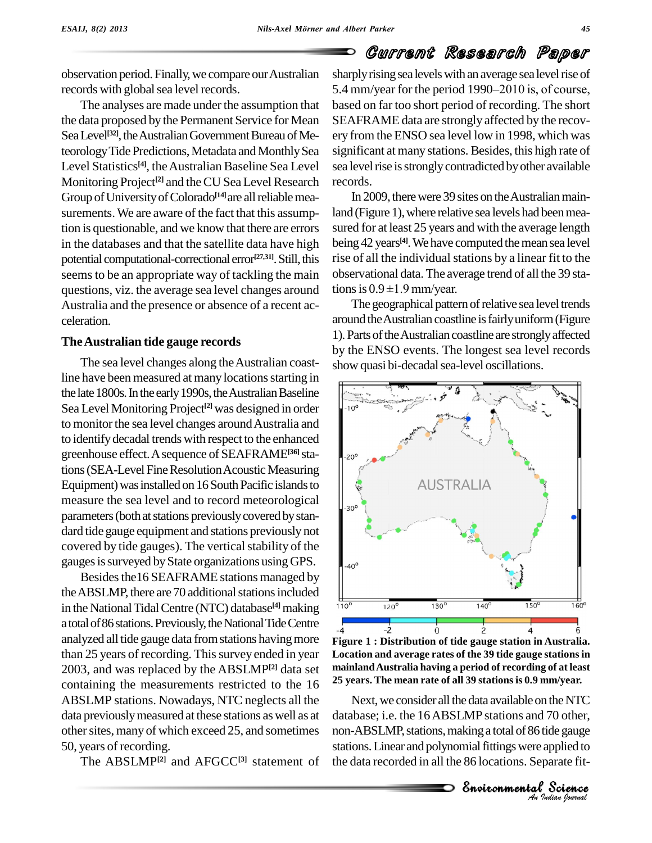observation period. Finally,we compare ourAustralian records with global sea level records.

The analyses are made under the assumption that the data proposed by the Permanent Service for Mean Sea Level<sup>[32]</sup>, the Australian Government Bureau of Meteorology Tide Predictions, Metadata and Monthly Sea Level Statistics<sup>[4]</sup>, the Australian Baseline Sea Level sea Monitoring Project<sup>[2]</sup> and the CU Sea Level Research records Group of University of Colorado<sup>[14]</sup>are all reliable measurements.We are aware of the fact that this assumption isquestionable, and we know that there are errors in the databases and that the satellite data have high potential computational-correctional error<sup>[27,31]</sup>. Still, this rise seems to be an appropriate way of tackling the main questions, viz. the average sea level changes around tions is  $0.9 \pm 1.9$  mm/year. Australia and the presence or absence of a recent ac celeration.

### **TheAustralian tide gauge records**

The sea level changes along the Australian coastline have been measured at many locations starting in the late 1800s. In the early 1990s, the Australian Baseline Sea Level Monitoring Project<sup>[2]</sup> was designed in order  $\| \cdot \|$ to monitor the sea level changes around Australia and to identifydecadal trends with respect to the enhanced greenhouse effect.Asequence of SEAFRAME **[36]**stations (SEA-Level Fine Resolution Acoustic Measuring Equipment) was installed on 16 South Pacific islands to measure the sea level and to record meteorological parameters (both at stations previously covered by standard tide gauge equipment and stations previously not covered by tide gauges). The vertical stability of the gauges is surveyed by State organizations using GPS.

Besides the 16 SEAFRAME stations managed by the ABSLMP, there are 70 additional stations included in the National Tidal Centre (NTC) database<sup>[4]</sup> making  $110^\circ$ atotalof86stations.Previously,theNationalTideCentre analyzed all tide gauge data from stations having more than 25 years of recording. This survey ended in year 2003, and was replaced by the ABSLMP **[2]** data set containing the measurements restricted to the 16 ABSLMP stations. Nowadays, NTC neglects all the data previouslymeasured at these stations aswell as at other sites, many of which exceed 25, and sometimes 50, years of recording.

The ABSLMP<sup>[2]</sup> and AFGCC<sup>[3]</sup> statement of the

sharply rising sea levels with an average sea level rise of  $\blacksquare$  Gurrent Kessear Given Fall of the period 1990–2010 is, of course, based on far too short period of recording. The short SEAFRAME data are strongly affected by the recov ery from the ENSO sea level low in 1998, which was significant at many stations. Besides, this high rate of sea level rise is strongly contradicted by other available records.

In 2009, there were 39 sites on the Australian mainland (Figure 1), where relative sea levels had been measured for at least 25 years and with the average length being 42 years **[4]**.Wehave computed themean sea level rise of all the individual stations by a linear fit to the<br>observational data. The average trend of all the 39 sta-<br>tions is  $0.9 \pm 1.9$  mm/year. observational data.The average trend of all the 39 sta-

The geographical pattern of relative sea level trends around the Australian coastline is fairly uniform (Figure 1). Parts of the Australian coastline are strongly affected by the ENSO events. The longest sea level records show quasi bi-decadal sea-level oscillations.



**Figure 1 : Distribution of tide gauge station in Australia. Location and average rates of the 39 tide gauge stationsin mainlandAustralia having a period of recording of at least 25 years. The mean rate of all 39 stationsis 0.9 mm/year.**

*An*database; i.e. the 16ABSLMP stations and 70 other, *I* 70 other,<br>tide gauge<br>applied to<br>parate fit-<br>Cudian *lournal* Next, we consider all the data available on the NTC the NTC<br>70 other,<br>de gauge<br>pplied to<br>arate fit-<br>**Science** non-ABSLMP, stations, making a total of 86 tide gauge stations. Linear and polynomial fittings were applied to the data recorded in all the 86 locations. Separate fit-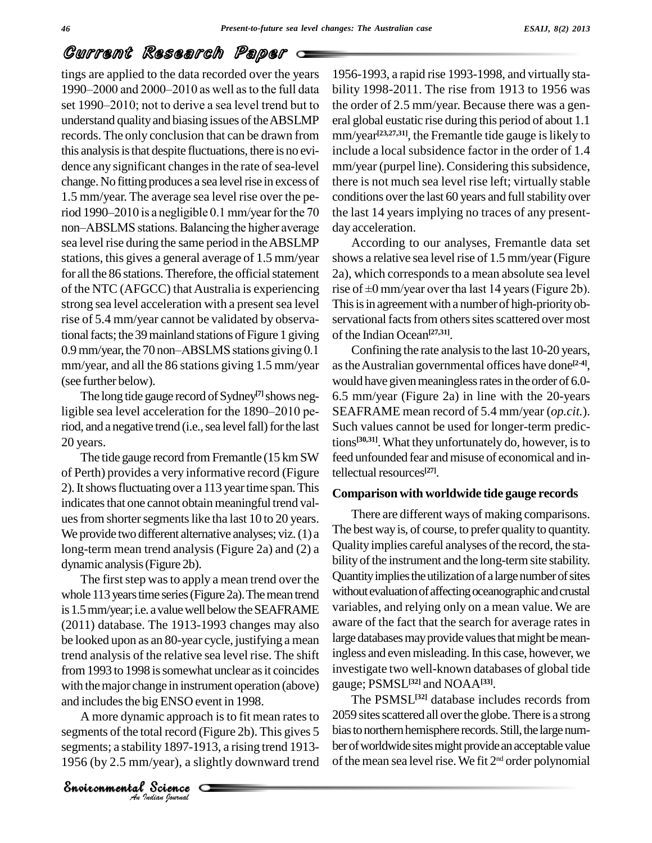tings are applied to the data recorded over the years **1990–2000** and 2000–2010 as well as to the full data bility in 1990–2000 and 2000–2010 as well as to the full data bility tings are applied to the data recorded over the years 1956-1<br>1990–2000 and 2000–2010 as well as to the full data bility 1<br>set 1990–2010; not to derive a sea level trend but to the ord understand quality and biasing issues of the ABSLMP records. The only conclusion that can be drawn from this analysis is that despite fluctuations, there is no evidence any significant changes in the rate of sea-level change. No fitting produces a sea level rise in excess of 1.5 mm/year. The average sea level rise over the period 1990–2010 is a negligible 0.1 mm/year for the 70 non-ABSLMS stations. Balancing the higher average sea level rise during the same period in theABSLMP stations, this gives a general average of 1.5 mm/year for all the 86 stations. Therefore, the official statement strong sea level acceleration with a present sea level rise of 5.4 mm/year cannot be validated by observational facts; the 39 mainland stations of Figure 1 giving 0.9 mm/year, the 70 non-ABSLMS stations giving 0.1 mm/year, and all the 86 stations giving 1.5 mm/year (see further below).

The long tide gauge record of Sydney<sup>[7]</sup> shows negligible sea level acceleration for the  $1890-2010$  period, and a negative trend (i.e., sea level fall) for the last 20 years.

The tide gauge record from Fremantle (15 km SW) of Perth) provides a very informative record (Figure 2). It shows fluctuating over a 113 year time span. This indicates that one cannot obtain meaningful trend values from shorter segments like tha last 10 to 20 years. We provide two different alternative analyses; viz. (1) a long-term mean trend analysis (Figure 2a) and (2) a dynamic analysis(Figure 2b).

and includes the big ENSO event in 1998. The first step was to apply a mean trend over the whole 113 years time series (Figure 2a). The mean trend is 1.5 mm/year; i.e. a value well below the SEAFRAME (2011) database. The 1913-1993 changes may also be looked upon as an 80-year cycle, justifying a mean trend analysis of the relative sea level rise. The shift from 1993 to 1998 is somewhat unclear as it coincides with the major change in instrument operation (above)

ig ENSO event<br>mic approach is<br>tal record (Figust)<br>ity 1897-1913,<br>/year), a slight<br>Science A more dynamic approach is to fit mean rates to segments of the total record (Figure 2b). This gives 5 segments; a stability 1897-1913, a rising trend 1913- 1956 (by 2.5 mm/year), a slightly downward trend

1956-1993, a rapid rise 1993-1998, and virtually sta bility 1998-2011. The rise from 1913 to 1956 was the order of 2.5 mm/year. Because there was a gen eral global eustatic rise during this period of about 1.1 mm/year **[23,27,31]**, the Fremantle tide gauge islikely to include a local subsidence factor in the order of 1.4 mm/year (purpel line). Considering this subsidence, there is not much sea level rise left; virtually stable conditions over the last 60 years and full stability over the last 14 years implying no traces of any present day acceleration.

of the NTC (AFGCC) that Australia is experiencing rise of  $\pm 0$  mm/year over tha last 14 years (Figure 2b). According to our analyses, Fremantle data set shows a relative sea level rise of 1.5 mm/year (Figure 2a), which corresponds to a mean absolute sea level shows a relative sea level rise of 1.5 mm/year (Figure 2a), which corresponds to a mean absolute sea level<br>rise of ±0 mm/year over tha last 14 years (Figure 2b). This is in agreement with a number of high-priority observational facts from others sites scattered over most of the Indian Ocean **[27,31]**.

> Confining the rate analysisto the last 10-20 years, astheAustralian governmental offices have done **[2-4]**, would have given meaningless rates in the order of 6.0-6.5 mm/year (Figure 2a) in line with the 20-years SEAFRAME mean record of 5.4 mm/year (*op.cit.*). Such values cannot be used for longer-term predictions **[30,31]**.What they unfortunately do, however, isto feed unfounded fear and misuse of economical and intellectual resources<sup>[27]</sup>.

### **Comparison with worldwide tide gauge records**

There are different ways of making comparisons. The best way is, of course, to prefer quality to quantity. Quality implies careful analyses of the record, the stability of the instrument and the long-term site stability. Quantity implies the utilization of a large number of sites without evaluation of affecting oceanographic and crustal variables, and relying only on a mean value. We are aware of the fact that the search for average rates in large databases may provide values that might be meaningless and even misleading. In this case, however, we investigate two well-known databases of global tide gauge; PSMSL **[32]** and NOAA**[33]**.

The PSMSL **[32]** database includes records from 2059 sites scattered all over the globe. There is a strong bias to northern hemisphere records. Still, the large number of worldwide sites might provide an acceptable value of the mean sea level rise. We fit 2<sup>nd</sup> order polynomial

*Indian Journal*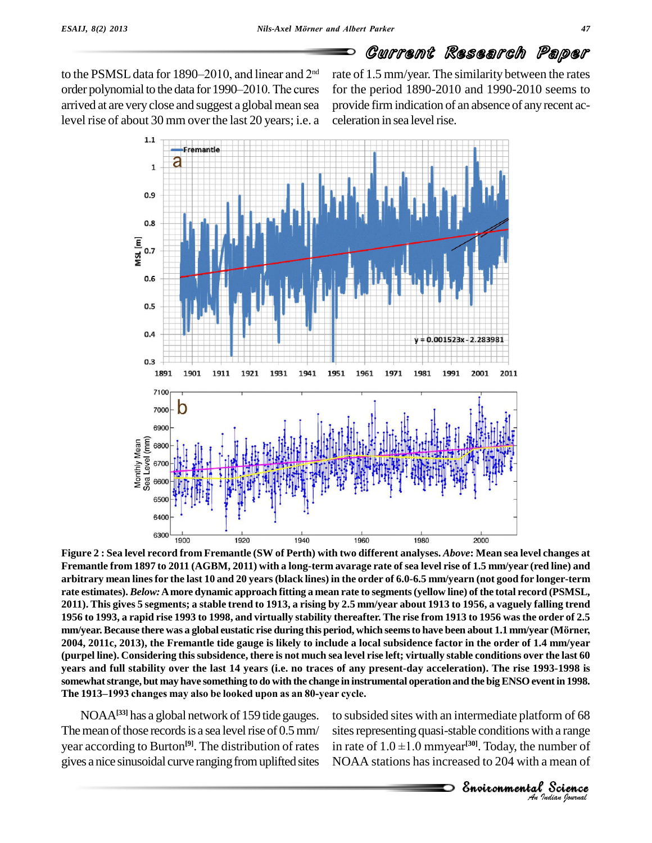to the PSMSL data for 1890–2010, and linear and  $2<sup>nd</sup>$ order polynomial to the data for 1990–2010. The cures arrived at are very close and suggest a global mean sea level rise of about 30 mm over the last 20 years; i.e. a

<sup>nd</sup> rate of 1.5 mm/year. The similarity between the rates for the period 1890-2010 and 1990-2010 seems to provide firmindication of an absence of anyrecent ac celeration in sea level rise.



*An*EnvironmentalFigure 2 : Sea level record from Fremantle (SW of Perth) with two different analyses. Above: Mean sea level changes at Fremantle from 1897 to 2011 (AGBM, 2011) with a long-term avarage rate of sea level rise of 1.5 mm/year (red line) and arbitrary mean lines for the last 10 and 20 years (black lines) in the order of 6.0-6.5 mm/yearn (not good for longer-term rate estimates). Below: A more dynamic approach fitting a mean rate to segments (yellow line) of the total record (PSMSL, 2011). This gives 5 segments; a stable trend to 1913, a rising by 2.5 mm/year about 1913 to 1956, a vaguely falling trend<br>1956 to 1993, a rapid rise 1993 to 1998, and virtually stability thereafter. The rise from 1913 to 1 1956 to 1993, a rapid rise 1993 to 1998, and virtually stability thereafter. The rise from 1913 to 1956 was the order of 2.5 2004, 2011c, 2013), the Fremantle tide gauge is likely to include a local subsidence factor in the order of 1.4 mm/year (purpel line). Considering this subsidence, there is not much sea level rise left; virtually stable conditions over the last 60 years and full stability over the last 14 years (i.e. no traces of any present-day acceleration). The rise 1993-1998 is<br>somewhat strange, but may have something to do with the change in instrumental operation and the big E somewhat strange, but may have something to do with the change in instrumental operation and the big ENSO event in 1998.

NOAA**[33]** has a global network of 159 tide gauges. The mean of those records is a sea level rise of  $0.5$  mm/ year according to Burton **[9]**. The distribution of rates gives a nice sinusoidal curve ranging from uplifted sites

Frame of 68<br>*I* a range<br>*I* a mean of<br>**Protience** rm of 68<br>h a range<br>umber of<br>mean of<br>**Science** to subsided sites with an intermediate platform of 68 sites representing quasi-stable conditions with a range to subsided sites with an intermed<br>sites representing quasi-stable con<br>in rate of  $1.0 \pm 1.0$  mmyear<sup>[30]</sup>. To in rate of  $1.0 \pm 1.0$  mmyear<sup>[30]</sup>. Today, the number of NOAA stations hasincreased to 204 with a mean of

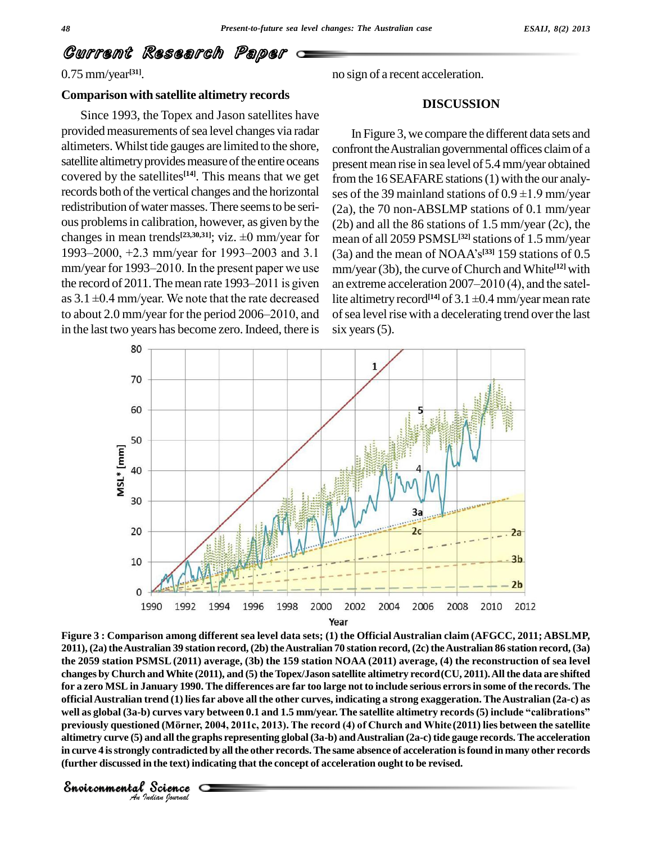### 0.75 mm/year **[31]**.

*Indian Journal*

### **Comparison with satellite altimetry records**

Since 1993, the Topex and Jason satellites have provided measurements of sea level changes via radar altimeters. Whilst tide gauges are limited to the shore, satellite altimetry provides measure of the entire oceans covered by the satellites<sup>[14]</sup>. This means that we get from records both of the vertical changes and the horizontal ses of the 39 mainland stations of  $0.9 \pm 1.9$  mm/year redistribution of water masses. There seems to be serious problemsin calibration, however, as given by the redistribution of water masses. There seems to be seri-<br>
ous problems in calibration, however, as given by the (2b)<br>
changes in mean trends<sup>[23,30,31]</sup>; viz.  $\pm 0$  mm/year for mea ous problems in calibration, however, as given by the (2b) and changes in mean trends<sup>[23,30,31]</sup>; viz.  $\pm 0$  mm/year for 1993–2000, +2.3 mm/year for 1993–2003 and 3.1 (3a) and changes in mean trends<sup>[23,30,31]</sup>; viz.  $\pm 0$  mm/year for mean 1993–2000, +2.3 mm/year for 1993–2003 and 3.1 (3a) a mm/year for 1993–2010. In the present paper we use mm/y 1993–2000,  $+2.3$  mm/year for 1993–2003 and 3.1 (3a) and mm/year for 1993–2010. In the present paper we use mm/ye the record of 2011. The mean rate 1993–2011 is given an extra mm/year for 1993–2010. In the present paper we use mm/ye<br>the record of 2011. The mean rate 1993–2011 is given an extra as  $3.1 \pm 0.4$  mm/year. We note that the rate decreased lite alti the record of 2011. The mean rate 1993–2011 is given<br>as  $3.1 \pm 0.4$  mm/year. We note that the rate decreased<br>to about 2.0 mm/year for the period 2006–2010, and in the last two years has become zero. Indeed, there is

no sign of a recent acceleration.

### **DISCUSSION**

In Figure 3, we compare the different data sets and confront the Australian governmental offices claim of a present mean rise in sea level of 5.4 mm/year obtained<br>from the 16 SEAFARE stations (1) with the our analy-<br>ses of the 39 mainland stations of  $0.9 \pm 1.9$  mm/year from the 16 SEAFARE stations (1) with the our analy-(2a), the 70 non-ABSLMP stations of 0.1 mm/year (2b) and all the 86 stations of 1.5 mm/year (2c), the mean of all 2059 PSMSL **[32]**stations of 1.5 mm/year (2b) and all the 86 stations of 1.5 mm/year (2c), the<br>mean of all 2059 PSMSL<sup>[32]</sup> stations of 1.5 mm/year<br>(3a) and the mean of NOAA's<sup>[33]</sup> 159 stations of 0.5<br>mm/year (3b), the curve of Church and White<sup>[12]</sup> with<br>an ex mm/year (3b), the curve ofChurch and White **[12]** with lite altimetry record<sup>[14]</sup> of 3.1  $\pm$ 0.4 mm/year mean rate an extreme acceleration 2007-2010 (4), and the satelof sea level rise with a decelerating trend over the last six years  $(5)$ .



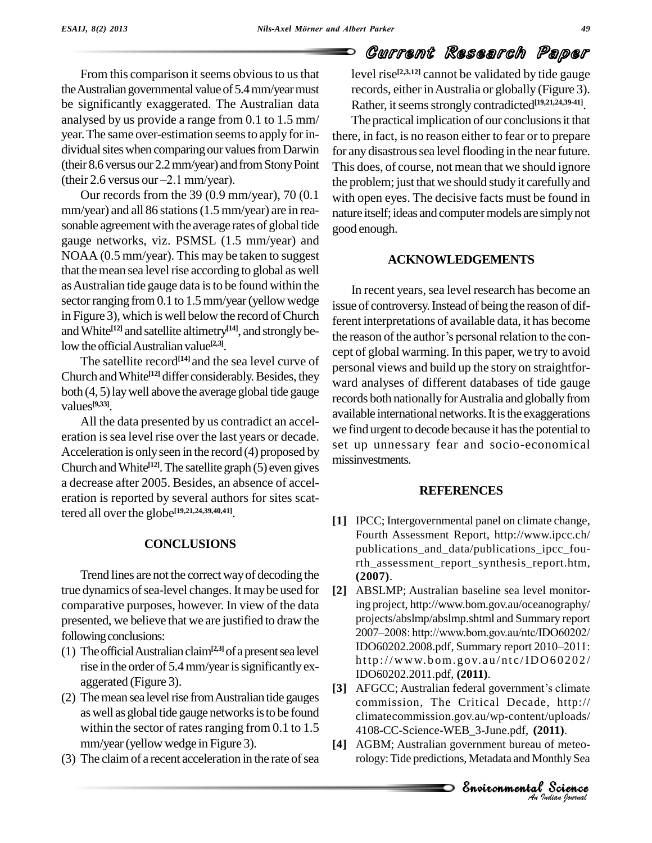⊃

## Current Research Paper

From this comparison it seems obvious to us that the Australian governmental value of 5.4 mm/year must be significantly exaggerated. The Australian data analysed by us provide a range from 0.1 to 1.5 mm/ year. The same over-estimation seems to apply for individual sites when comparing our values from Darwin for any<br>(their 8.6 versus our 2.2 mm/year) and from Stony Point This do<br>(their 2.6 versus our –2.1 mm/year). the pro (their 8.6 versus our 2.2 mm/year) and from Stony Point

Our records from the 39 (0.9 mm/year), 70 (0.1 mm/year) and all 86 stations(1.5 mm/year) are in rea sonable agreement with the average rates of global tide gauge networks, viz. PSMSL (1.5 mm/year) and NOAA (0.5 mm/year). This may be taken to suggest that the mean sea level rise according to global as well asAustralian tide gauge data isto be found within the sector ranging from 0.1 to 1.5 mm/year (yellow wedge in Figure 3), which is well below the record of Church and White<sup>[12]</sup> and satellite altimetry<sup>[14]</sup>, and strongly below the official Australian value<sup>[2,3]</sup>.

The satellite record<sup>[14]</sup> and the sea level curve of  $\frac{1}{12}$ Church and White<sup>[12]</sup> differ considerably. Besides, they verd a both (4, 5)laywell above the average global tide gauge values **[9,33]**.

All the data presented by us contradict an accel eration is sea level rise over the last years or decade. Acceleration is only seen in the record  $(4)$  proposed by Church and White<sup>[12]</sup>. The satellite graph (5) even gives a decrease after 2005. Besides, an absence of accel eration is reported by several authors for sites scattered all over the globe **[19,21,24,39,40,41]**.

### **CONCLUSIONS**

Trend lines are not the correct wayof decoding the true dynamics of sea-level changes. It may be used for comparative purposes, however. In view of the data presented, we believe that we are justified to draw the projects/abslmp/abslmp.shtml and Summary report<br>  $2007-2008$ : http://www.bom.gov.au/ntc/IDO60202/ following conclusions:

- (1) The official Australian claim<sup>[2,3]</sup> of a present sea level rise in the order of 5.4 mm/year is significantly exaggerated (Figure 3).
- (2) Themeansea levelrise fromAustralian tide gauges as well as global tide gauge networks is to be found within the sector of rates ranging from  $0.1$  to  $1.5$ mm/year(yellow wedge in Figure 3).
- $(3)$  The claim of a recent acceleration in the rate of sea

level rise **[2,3,12]** cannot be validated by tide gauge records, either in Australia or globally (Figure 3). Rather, it seems strongly contradicted<sup>[19,21,24,39-41]</sup>.

The practical implication of our conclusions it that there, in fact, is no reason either to fear or to prepare for any disastrous sea level flooding in the near future. This does, of course, not mean that we should ignore the problem; just that we should studyit carefully and with open eyes. The decisive facts must be found in nature itself; ideas and computer models are simply not good enough.

### **ACKNOWLEDGEMENTS**

In recent years, sea level research has become an issue of controversy. Instead of being the reason of different interpretations of available data, it has become issue of controversy. Instead of being the reason of dif-<br>ferent interpretations of available data, it has become<br>the reason of the author's personal relation to the concept of global warming. In this paper, we try to avoid personal views and build up the story on straightfor ward analyses of different databases of tide gauge records both nationally for Australia and globally from available international networks. It is the exaggerations we find urgent to decode because it has the potential to set up unnessary fear and socio-economical missinvestments.

### **REFERENCES**

- **[1]** IPCC; Intergovernmental panel on climate change, Fourth Assessment Report, <http://www.ipcc.ch/> publications\_and\_data/publications\_ipcc\_fourth\_assessment\_report\_synthesis\_report.htm, **(2007)**.
- **[2]** ABSLMP; Australian baseline sea level monitoring project, http://www.bom.gov.au/oceanography/<br>projects/abslmp/abslmp.shtml and Summary report<br>2007–2008: [http://www.bom.gov.au/ntc/IDO60202/](http://www.bom.gov.au/oceanography/) projects/abs[lmp/abslmp.shtml](http://www.bom.gov.au/ntc/IDO60202/) and Summary report<br>2007–2008: http://www.bom.gov.au/ntc/IDO60202/<br>IDO60202.2008.pdf, Summary report 2010–2011: http[://www.b](http://www.bom.gov.au/ntc/IDO60202/)om.gov.au/ntc/IDO60202/ IDO60202.2011.pdf, **(2011)**.
- commission, The Critical Decade, http:// *I*, *Internal*<br>*IO11*).<br>*IO11*).<br>*I Science*<br><br>*<sup>2</sup> Science*<br>*Judian Isurual* , http://<br>uploads/<br>**11**).<br>of meteo-<br>mthly Sea<br>**S[cience](http://)** [3] AFGCC; Australian federal government's climate climatecommission.gov.au/wp-content/uploads/ 4108-CC-Science-WEB\_3-June.pdf, **(2011)**.
- **[4]** AGBM; Australian government bureau of meteorology:Tide predictions, Metadata and Monthly Sea

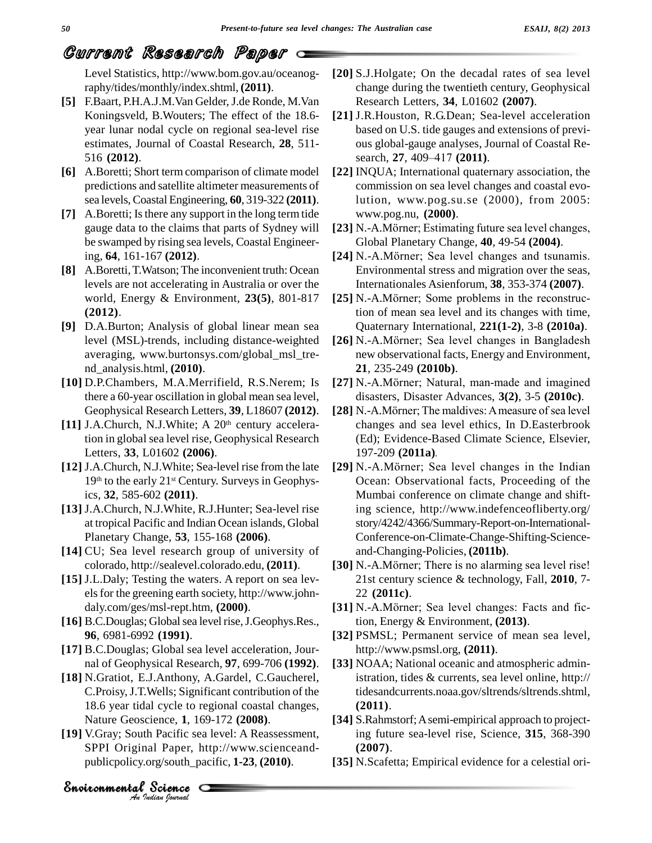Level Statistics, [http://www.bom.gov.au/oceanog](http://www.bom.gov.au/oceanog-)raphy/tides/monthly/index.shtml, **(2011)**.

- **[5]** F.Baart, P.H.A.J.M.Van Gelder,J.de Ronde, M.Van Koningsveld, B.Wouters; The effect of the 18.6 year lunar nodal cycle on regional sea-level rise estimates, Journal of Coastal Research, **28**, 511- 516 **(2012)**.
- **[6]** A.Boretti; Short term comparison of climate model predictions and satellite altimeter measurements of sea levels, Coastal Engineering, **60**, 319-322 **(2011)**.
- **[7]** A.Boretti; Isthere any support in the long term tide gauge data to the claims that parts of Sydney will be swamped by rising sea levels, Coastal Engineering, **64**, 161-167 **(2012)**.
- **[8]** A.Boretti,T.Watson;The inconvenient truth: Ocean levels are not accelerating in Australia or over the world, Energy & Environment, **23(5)**, 801-817 **(2012)**.
- **[9]** D.A.Burton; Analysis of global linear mean sea level (MSL)-trends, including distance-weighted averaging, [www.burtonsys.com/global\\_msl\\_tre](http://www.burtonsys.com/global_msl_tre-) nd\_analysis.html, **(2010)**.
- **[10]** D.P.Chambers, M.A.Merrifield, R.S.Nerem; Is there a 60-year oscillation in global mean sea level,
- [11] J.A.Church, N.J.White; A 20<sup>th</sup> century acceleration in global sea level rise, Geophysical Research Letters, **33**, L01602 **(2006)**.
- **[12]** J.A.Church, N.J.White; Sea-level rise from the late 19<sup>th</sup> to the early 21<sup>st</sup> Century. Surveys in Geophysics, **32**, 585-602 **(2011)**.
- **[13]** J.A.Church, N.J.White, R.J.Hunter; Sea-level rise at tropical Pacific and Indian Ocean islands, Global Planetary Change, **53**, 155-168 **(2006)**.
- **[14]** CU; Sea level research group of university of colorado, <http://sealevel.colorado.edu,> **(2011)**.
- **[15]** J.L.Daly; Testing the waters. A report on sea lev els for the greening earth society, [http://www.john](http://www.john-) daly.com/ges/msl-rept.htm, **(2000)**.
- [16] B.C.Douglas; Global sea level rise, J.Geophys.Res., **96**, 6981-6992 **(1991)**.
- **[17]** B.C.Douglas; Global sea level acceleration, Jour nal of Geophysical Research, **97**, 699-706 **(1992)**.
- *Anchelisty*, *Annually, algorithmental coastal changes*, **[18]** N.Gratiot, E.J.Anthony, A.Gardel, C.Gaucherel, C.Proisy,J.T.Wells; Significant contribution of the Nature Geoscience, **1**, 169-172 **(2008)**.
- I cycle to region<br>ience, 1, 169-1<br>i Pacific sea leval Paper, http:<br>Science **[19]** V.Gray; South Pacific sea level: A Reassessment, SPPI Original Paper, [http://www.scienceand](http://www.scienceand-) publicpolicy.org/south\_pacific, **1-23**, **(2010)**.

*Indian Journal*

- **[20]** S.J.Holgate; On the decadal rates of sea level change during the twentieth century, Geophysical Research Letters, **34**, L01602 **(2007)**.
- **[21]** J.R.Houston, R.G.Dean; Sea-level acceleration based on U.S. tide gauges and extensions of previ-<br>ous global-gauge analyses, Journal of Coastal Re-<br>search, **27**, 409–417 (**2011**). ous global-gauge analyses, Journal of Coastal Re-
- **[22]** INQUA; International quaternary association, the commission on sea level changes and coastal evolution, [www.pog.su.se](http://www.pog.su.se) (2000), from 2005: [www.pog.nu,](http://www.pog.nu,) **(2000)**. lution, www.pog.su.se (2000), from 2005:<br>www.pog.nu, (2000).<br>[23] N.-A.Mörner; Estimating future sea level changes,
- Global Planetary Change, **40**, 49-54 **(2004)**. [23] N.-A.Mörner; Estimating future sea level changes,<br>Global Planetary Change, **40**, 49-54 (2004).<br>[24] N.-A.Mörner; Sea level changes and tsunamis.
- Environmental stress and migration over the seas, Internationales Asienforum, **38**, 353-374 **(2007)**.
- [25] N.-A.Mörner; Some problems in the reconstruction of mean sea level and its changes with time, Quaternary International, **221(1-2)**, 3-8 **(2010a)**.
- [26] N.-A.Mörner; Sea level changes in Bangladesh new observational facts, Energy and Environment, **21**, 235-249 **(2010b)**. new observational facts, Energy and Environment,<br>**21**, 235-249 (**2010b**).<br>**[27]** N.-A.Mörner; Natural, man-made and imagined
- disasters, Disaster Advances, **3(2)**, 3-5 **(2010c)**. [27] N.-A.Mörner; Natural, man-made and imagined<br>disasters, Disaster Advances, 3(2), 3-5 (2010c).<br>[28] N.-A.Mörner; The maldives: A measure of sea level
- Geophysical Research Letters, **39**, L18607 **(2012)**. changes and sea level ethics, In D.Easterbrook (Ed); Evidence-Based Climate Science, Elsevier, 197-209 **(2011a)**.
	- **[29]** N.-A.Mˆrner; Sea level changes in the Indian Ocean: Observational facts, Proceeding of the Mumbai conference on climate change and shifting science, <http://www.indefenceofliberty.org/> story/4242/4366/Summary-Report-on-International- Conference-on-Climate-Change-Shifting-Science and-Changing-Policies, **(2011b)**.
	- [30] N.-A.Mörner; There is no alarming sea level rise! 21st century science & technology, Fall, **2010**, 7- 22 **(2011c)**.
	- [31] N.-A.Mörner; Sea level changes: Facts and fiction, Energy & Environment, **(2013)**.
	- **[32]** PSMSL; Permanent service of mean sea level, <http://www.psmsl.org,> **(2011)**.
	- **[33]** NOAA; National oceanic and atmospheric administration, tides & currents, sea level online, <http://> tidesandcurrents.noaa.gov/sltrends/sltrends.shtml, **(2011)**.
	- **[34]** S.Rahmstorf;Asemi-empirical approach to projecting future sea-level rise, Science, **315**, 368-390 **(2007)**.
	- **[35]** N.Scafetta; Empirical evidence for a celestial ori-